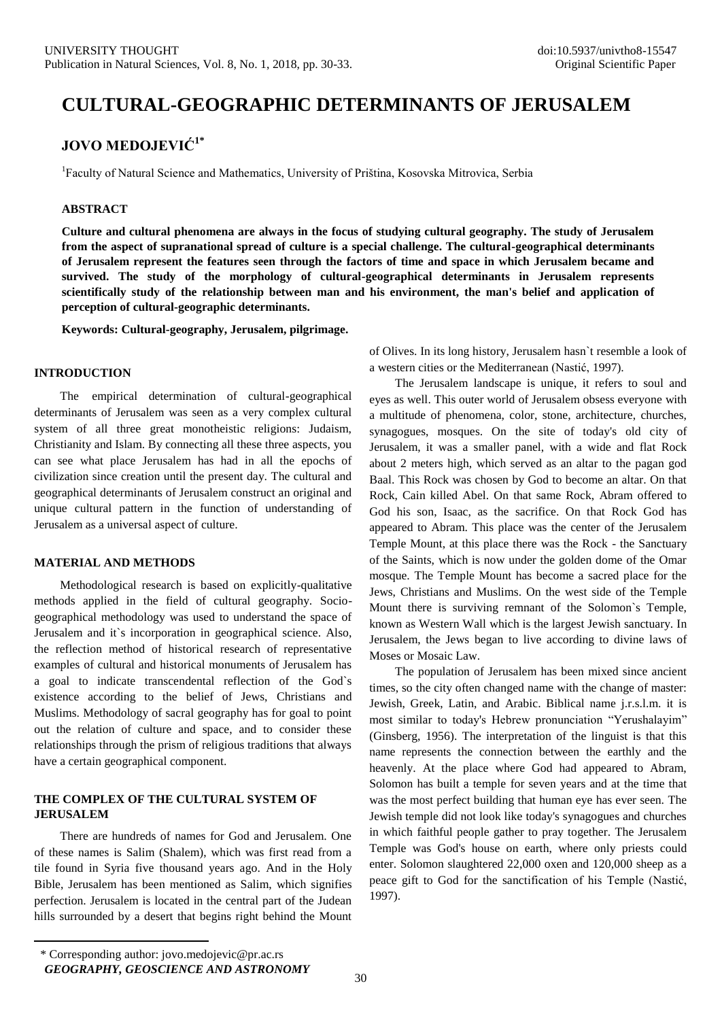# **CULTURAL-GEOGRAPHIC DETERMINANTS OF JERUSALEM**

# **JOVO MEDOJEVIĆ1\***

<sup>1</sup>Faculty of Natural Science and Mathematics, University of Priština, Kosovska Mitrovica, Serbia

# **ABSTRACT**

**Culture and cultural phenomena are always in the focus of studying cultural geography. The study of Jerusalem from the aspect of supranational spread of culture is a special challenge. The cultural-geographical determinants of Jerusalem represent the features seen through the factors of time and space in which Jerusalem became and survived. The study of the morphology of cultural-geographical determinants in Jerusalem represents scientifically study of the relationship between man and his environment, the man's belief and application of perception of cultural-geographic determinants.**

**Keywords: Cultural-geography, Jerusalem, pilgrimage.**

#### **INTRODUCTION**

The empirical determination of cultural-geographical determinants of Jerusalem was seen as a very complex cultural system of all three great monotheistic religions: Judaism, Christianity and Islam. By connecting all these three aspects, you can see what place Jerusalem has had in all the epochs of civilization since creation until the present day. The cultural and geographical determinants of Jerusalem construct an original and unique cultural pattern in the function of understanding of Jerusalem as a universal aspect of culture.

# **MATERIAL AND METHODS**

Methodological research is based on explicitly-qualitative methods applied in the field of cultural geography. Sociogeographical methodology was used to understand the space of Jerusalem and it`s incorporation in geographical science. Also, the reflection method of historical research of representative examples of cultural and historical monuments of Jerusalem has a goal to indicate transcendental reflection of the God`s existence according to the belief of Jews, Christians and Muslims. Methodology of sacral geography has for goal to point out the relation of culture and space, and to consider these relationships through the prism of religious traditions that always have a certain geographical component.

# **THE COMPLEX OF THE CULTURAL SYSTEM OF JERUSALEM**

There are hundreds of names for God and Jerusalem. One of these names is Salim (Shalem), which was first read from a tile found in Syria five thousand years ago. And in the Holy Bible, Jerusalem has been mentioned as Salim, which signifies perfection. Jerusalem is located in the central part of the Judean hills surrounded by a desert that begins right behind the Mount of Olives. In its long history, Jerusalem hasn`t resemble a look of a western cities or the Mediterranean (Nastić, 1997).

The Jerusalem landscape is unique, it refers to soul and eyes as well. This outer world of Jerusalem obsess everyone with a multitude of phenomena, color, stone, architecture, churches, synagogues, mosques. On the site of today's old city of Jerusalem, it was a smaller panel, with a wide and flat Rock about 2 meters high, which served as an altar to the pagan god Baal. This Rock was chosen by God to become an altar. On that Rock, Cain killed Abel. On that same Rock, Abram offered to God his son, Isaac, as the sacrifice. On that Rock God has appeared to Abram. This place was the center of the Jerusalem Temple Mount, at this place there was the Rock - the Sanctuary of the Saints, which is now under the golden dome of the Omar mosque. The Temple Mount has become a sacred place for the Jews, Christians and Muslims. On the west side of the Temple Mount there is surviving remnant of the Solomon`s Temple, known as Western Wall which is the largest Jewish sanctuary. In Jerusalem, the Jews began to live according to divine laws of Moses or Mosaic Law.

The population of Jerusalem has been mixed since ancient times, so the city often changed name with the change of master: Jewish, Greek, Latin, and Arabic. Biblical name j.r.s.l.m. it is most similar to today's Hebrew pronunciation "Yerushalayim" (Ginsberg, 1956). The interpretation of the linguist is that this name represents the connection between the earthly and the heavenly. At the place where God had appeared to Abram, Solomon has built a temple for seven years and at the time that was the most perfect building that human eye has ever seen. The Jewish temple did not look like today's synagogues and churches in which faithful people gather to pray together. The Jerusalem Temple was God's house on earth, where only priests could enter. Solomon slaughtered 22,000 oxen and 120,000 sheep as a peace gift to God for the sanctification of his Temple (Nastić, 1997).

 $\ddot{\phantom{a}}$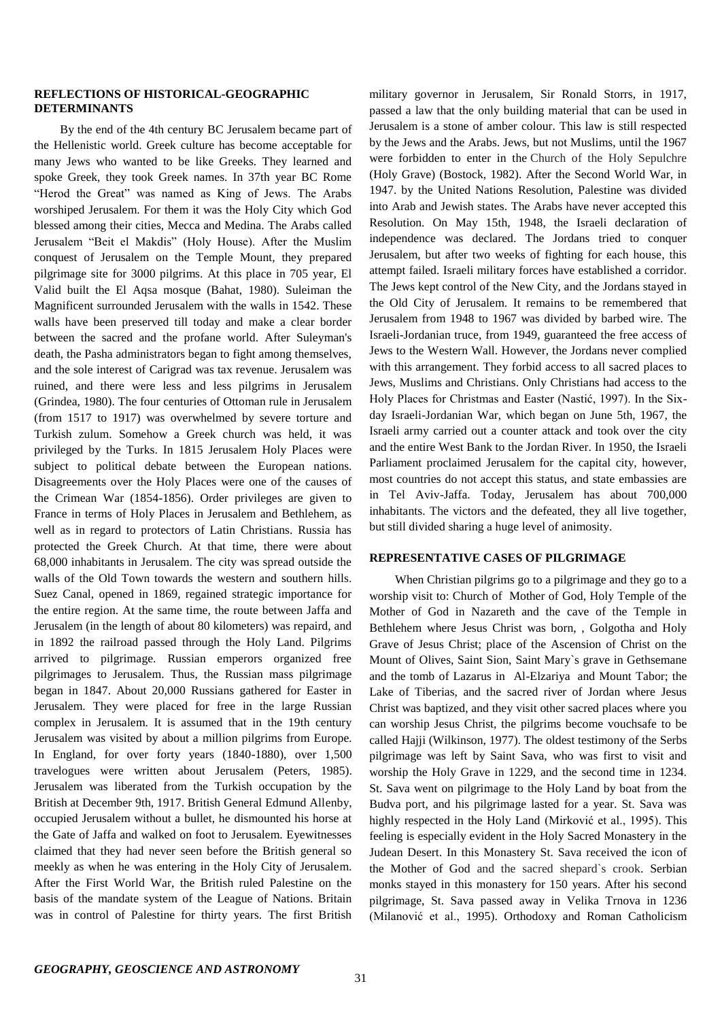### **REFLECTIONS OF HISTORICAL-GEOGRAPHIC DETERMINANTS**

By the end of the 4th century BC Jerusalem became part of the Hellenistic world. Greek culture has become acceptable for many Jews who wanted to be like Greeks. They learned and spoke Greek, they took Greek names. In 37th year BC Rome "Herod the Great" was named as King of Jews. The Arabs worshiped Jerusalem. For them it was the Holy City which God blessed among their cities, Mecca and Medina. The Arabs called Jerusalem "Beit el Makdis" (Holy House). After the Muslim conquest of Jerusalem on the Temple Mount, they prepared pilgrimage site for 3000 pilgrims. At this place in 705 year, El Valid built the El Aqsa mosque (Bahat, 1980). Suleiman the Magnificent surrounded Jerusalem with the walls in 1542. These walls have been preserved till today and make a clear border between the sacred and the profane world. After Suleyman's death, the Pasha administrators began to fight among themselves, and the sole interest of Carigrad was tax revenue. Jerusalem was ruined, and there were less and less pilgrims in Jerusalem (Grindea, 1980). The four centuries of Ottoman rule in Jerusalem (from 1517 to 1917) was overwhelmed by severe torture and Turkish zulum. Somehow a Greek church was held, it was privileged by the Turks. In 1815 Jerusalem Holy Places were subject to political debate between the European nations. Disagreements over the Holy Places were one of the causes of the Crimean War (1854-1856). Order privileges are given to France in terms of Holy Places in Jerusalem and Bethlehem, as well as in regard to protectors of Latin Christians. Russia has protected the Greek Church. At that time, there were about 68,000 inhabitants in Jerusalem. The city was spread outside the walls of the Old Town towards the western and southern hills. Suez Canal, opened in 1869, regained strategic importance for the entire region. At the same time, the route between Jaffa and Jerusalem (in the length of about 80 kilometers) was repaird, and in 1892 the railroad passed through the Holy Land. Pilgrims arrived to pilgrimage. Russian emperors organized free pilgrimages to Jerusalem. Thus, the Russian mass pilgrimage began in 1847. About 20,000 Russians gathered for Easter in Jerusalem. They were placed for free in the large Russian complex in Jerusalem. It is assumed that in the 19th century Jerusalem was visited by about a million pilgrims from Europe. In England, for over forty years (1840-1880), over 1,500 travelogues were written about Jerusalem (Peters, 1985). Jerusalem was liberated from the Turkish occupation by the British at December 9th, 1917. British General Edmund Allenby, occupied Jerusalem without a bullet, he dismounted his horse at the Gate of Jaffa and walked on foot to Jerusalem. Eyewitnesses claimed that they had never seen before the British general so meekly as when he was entering in the Holy City of Jerusalem. After the First World War, the British ruled Palestine on the basis of the mandate system of the League of Nations. Britain was in control of Palestine for thirty years. The first British military governor in Jerusalem, Sir Ronald Storrs, in 1917, passed a law that the only building material that can be used in Jerusalem is a stone of amber colour. This law is still respected by the Jews and the Arabs. Jews, but not Muslims, until the 1967 were forbidden to enter in the Church of the Holy Sepulchre (Holy Grave) (Bostock, 1982). After the Second World War, in 1947. by the United Nations Resolution, Palestine was divided into Arab and Jewish states. The Arabs have never accepted this Resolution. On May 15th, 1948, the Israeli declaration of independence was declared. The Jordans tried to conquer Jerusalem, but after two weeks of fighting for each house, this attempt failed. Israeli military forces have established a corridor. The Jews kept control of the New City, and the Jordans stayed in the Old City of Jerusalem. It remains to be remembered that Jerusalem from 1948 to 1967 was divided by barbed wire. The Israeli-Jordanian truce, from 1949, guaranteed the free access of Jews to the Western Wall. However, the Jordans never complied with this arrangement. They forbid access to all sacred places to Jews, Muslims and Christians. Only Christians had access to the Holy Places for Christmas and Easter (Nastić, 1997). In the Sixday Israeli-Jordanian War, which began on June 5th, 1967, the Israeli army carried out a counter attack and took over the city and the entire West Bank to the Jordan River. In 1950, the Israeli Parliament proclaimed Jerusalem for the capital city, however, most countries do not accept this status, and state embassies are in Tel Aviv-Jaffa. Today, Jerusalem has about 700,000 inhabitants. The victors and the defeated, they all live together, but still divided sharing a huge level of animosity.

#### **REPRESENTATIVE CASES OF PILGRIMAGE**

When Christian pilgrims go to a pilgrimage and they go to a worship visit to: Church of Mother of God, Holy Temple of the Mother of God in Nazareth and the cave of the Temple in Bethlehem where Jesus Christ was born, , Golgotha and Holy Grave of Jesus Christ; place of the Ascension of Christ on the Mount of Olives, Saint Sion, Saint Mary`s grave in Gethsemane and the tomb of Lazarus in Al-Elzariya and Mount Tabor; the Lake of Tiberias, and the sacred river of Jordan where Jesus Christ was baptized, and they visit other sacred places where you can worship Jesus Christ, the pilgrims become vouchsafe to be called Hajji (Wilkinson, 1977). The oldest testimony of the Serbs pilgrimage was left by Saint Sava, who was first to visit and worship the Holy Grave in 1229, and the second time in 1234. St. Sava went on pilgrimage to the Holy Land by boat from the Budva port, and his pilgrimage lasted for a year. St. Sava was highly respected in the Holy Land (Mirković et al., 1995). This feeling is especially evident in the Holy Sacred Monastery in the Judean Desert. In this Monastery St. Sava received the icon of the Mother of God and the sacred shepard`s crook. Serbian monks stayed in this monastery for 150 years. After his second pilgrimage, St. Sava passed away in Velika Trnova in 1236 (Milanović et al., 1995). Orthodoxy and Roman Catholicism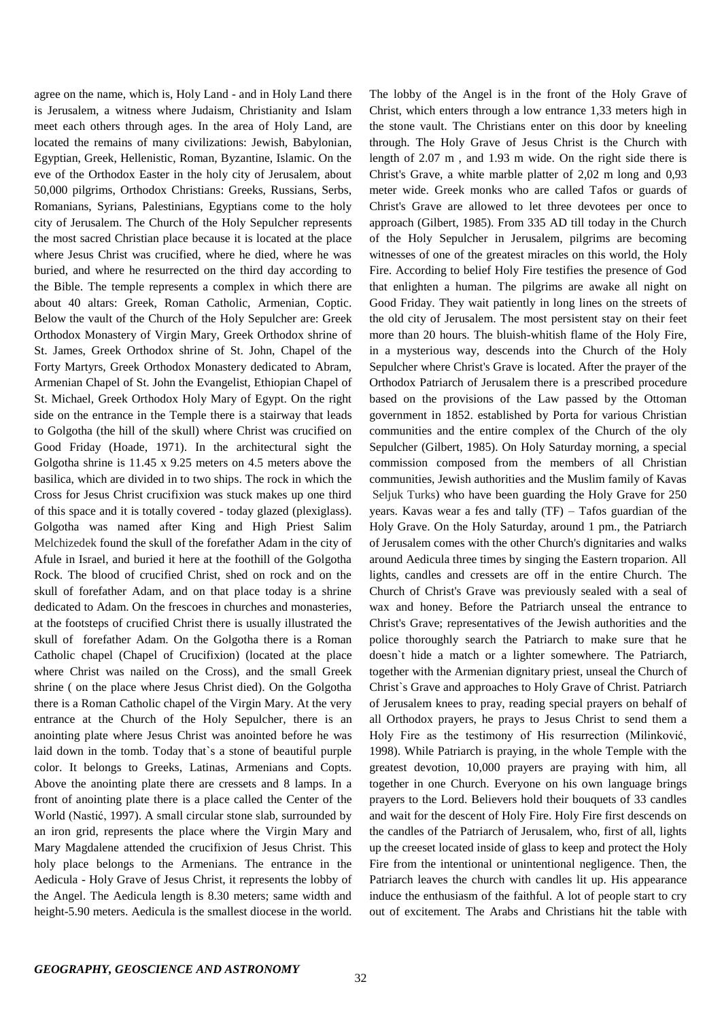agree on the name, which is, Holy Land - and in Holy Land there is Jerusalem, a witness where Judaism, Christianity and Islam meet each others through ages. In the area of Holy Land, are located the remains of many civilizations: Jewish, Babylonian, Egyptian, Greek, Hellenistic, Roman, Byzantine, Islamic. On the eve of the Orthodox Easter in the holy city of Jerusalem, about 50,000 pilgrims, Orthodox Christians: Greeks, Russians, Serbs, Romanians, Syrians, Palestinians, Egyptians come to the holy city of Jerusalem. The Church of the Holy Sepulcher represents the most sacred Christian place because it is located at the place where Jesus Christ was crucified, where he died, where he was buried, and where he resurrected on the third day according to the Bible. The temple represents a complex in which there are about 40 altars: Greek, Roman Catholic, Armenian, Coptic. Below the vault of the Church of the Holy Sepulcher are: Greek Orthodox Monastery of Virgin Mary, Greek Orthodox shrine of St. James, Greek Orthodox shrine of St. John, Chapel of the Forty Martyrs, Greek Orthodox Monastery dedicated to Abram, Armenian Chapel of St. John the Evangelist, Ethiopian Chapel of St. Michael, Greek Orthodox Holy Mary of Egypt. On the right side on the entrance in the Temple there is a stairway that leads to Golgotha (the hill of the skull) where Christ was crucified on Good Friday (Hoade, 1971). In the architectural sight the Golgotha shrine is 11.45 x 9.25 meters on 4.5 meters above the basilica, which are divided in to two ships. The rock in which the Cross for Jesus Christ crucifixion was stuck makes up one third of this space and it is totally covered - today glazed (plexiglass). Golgotha was named after King and High Priest Salim Melchizedek found the skull of the forefather Adam in the city of Afule in Israel, and buried it here at the foothill of the Golgotha Rock. The blood of crucified Christ, shed on rock and on the skull of forefather Adam, and on that place today is a shrine dedicated to Adam. On the frescoes in churches and monasteries, at the footsteps of crucified Christ there is usually illustrated the skull of forefather Adam. On the Golgotha there is a Roman Catholic chapel (Chapel of Crucifixion) (located at the place where Christ was nailed on the Cross), and the small Greek shrine ( on the place where Jesus Christ died). On the Golgotha there is a Roman Catholic chapel of the Virgin Mary. At the very entrance at the Church of the Holy Sepulcher, there is an anointing plate where Jesus Christ was anointed before he was laid down in the tomb. Today that`s a stone of beautiful purple color. It belongs to Greeks, Latinas, Armenians and Copts. Above the anointing plate there are cressets and 8 lamps. In a front of anointing plate there is a place called the Center of the World (Nastić, 1997). A small circular stone slab, surrounded by an iron grid, represents the place where the Virgin Mary and Mary Magdalene attended the crucifixion of Jesus Christ. This holy place belongs to the Armenians. The entrance in the Aedicula - Holy Grave of Jesus Christ, it represents the lobby of the Angel. The Aedicula length is 8.30 meters; same width and height-5.90 meters. Aedicula is the smallest diocese in the world. The lobby of the Angel is in the front of the Holy Grave of Christ, which enters through a low entrance 1,33 meters high in the stone vault. The Christians enter on this door by kneeling through. The Holy Grave of Jesus Christ is the Church with length of 2.07 m , and 1.93 m wide. On the right side there is Christ's Grave, a white marble platter of 2,02 m long and 0,93 meter wide. Greek monks who are called Tafos or guards of Christ's Grave are allowed to let three devotees per once to approach (Gilbert, 1985). From 335 AD till today in the Church of the Holy Sepulcher in Jerusalem, pilgrims are becoming witnesses of one of the greatest miracles on this world, the Holy Fire. According to belief Holy Fire testifies the presence of God that enlighten a human. The pilgrims are awake all night on Good Friday. They wait patiently in long lines on the streets of the old city of Jerusalem. The most persistent stay on their feet more than 20 hours. The bluish-whitish flame of the Holy Fire, in a mysterious way, descends into the Church of the Holy Sepulcher where Christ's Grave is located. After the prayer of the Orthodox Patriarch of Jerusalem there is a prescribed procedure based on the provisions of the Law passed by the Ottoman government in 1852. established by Porta for various Christian communities and the entire complex of the Church of the oly Sepulcher (Gilbert, 1985). On Holy Saturday morning, a special commission composed from the members of all Christian communities, Jewish authorities and the Muslim family of Kavas Seljuk Turks) who have been guarding the Holy Grave for 250 years. Kavas wear a fes and tally  $(TF)$  – Tafos guardian of the Holy Grave. On the Holy Saturday, around 1 pm., the Patriarch of Jerusalem comes with the other Church's dignitaries and walks around Aedicula three times by singing the Eastern troparion. All lights, candles and cressets are off in the entire Church. The Church of Christ's Grave was previously sealed with a seal of wax and honey. Before the Patriarch unseal the entrance to Christ's Grave; representatives of the Jewish authorities and the police thoroughly search the Patriarch to make sure that he doesn`t hide a match or a lighter somewhere. The Patriarch, together with the Armenian dignitary priest, unseal the Church of Christ`s Grave and approaches to Holy Grave of Christ. Patriarch of Jerusalem knees to pray, reading special prayers on behalf of all Orthodox prayers, he prays to Jesus Christ to send them a Holy Fire as the testimony of His resurrection (Milinković, 1998). While Patriarch is praying, in the whole Temple with the greatest devotion, 10,000 prayers are praying with him, all together in one Church. Everyone on his own language brings prayers to the Lord. Believers hold their bouquets of 33 candles and wait for the descent of Holy Fire. Holy Fire first descends on the candles of the Patriarch of Jerusalem, who, first of all, lights up the creeset located inside of glass to keep and protect the Holy Fire from the intentional or unintentional negligence. Then, the Patriarch leaves the church with candles lit up. His appearance induce the enthusiasm of the faithful. A lot of people start to cry out of excitement. The Arabs and Christians hit the table with